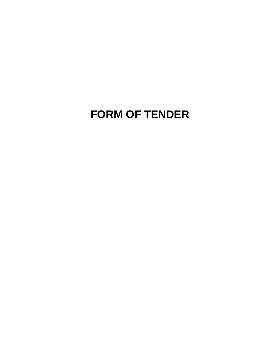# **FORM OF TENDER**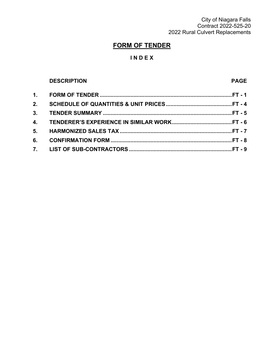City of Niagara Falls Contract 2022-525-20 2022 Rural Culvert Replacements

## **FORM OF TENDER**

### **I N D E X**

### **DESCRIPTION PAGE**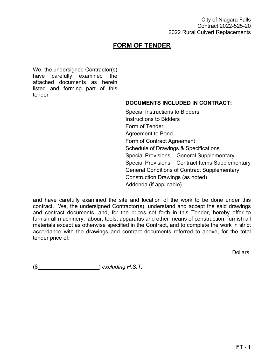### **FORM OF TENDER**

We, the undersigned Contractor(s) have carefully examined the attached documents as herein listed and forming part of this tender

### **DOCUMENTS INCLUDED IN CONTRACT:**

Special Instructions to Bidders Instructions to Bidders Form of Tender Agreement to Bond Form of Contract Agreement Schedule of Drawings & Specifications Special Provisions – General Supplementary Special Provisions – Contract Items Supplementary General Conditions of Contract Supplementary Construction Drawings (as noted) Addenda (if applicable)

and have carefully examined the site and location of the work to be done under this contract. We, the undersigned Contractor(s), understand and accept the said drawings and contract documents, and, for the prices set forth in this Tender, hereby offer to furnish all machinery, labour, tools, apparatus and other means of construction, furnish all materials except as otherwise specified in the Contract, and to complete the work in strict accordance with the drawings and contract documents referred to above, for the total tender price of:

Dollars.

(\$ ) *excluding H.S.T.*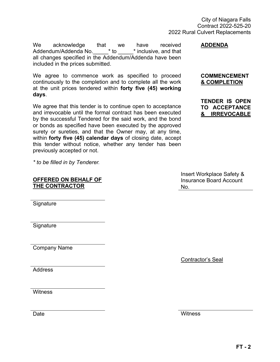We acknowledge that we have received<br>Addendum/Addenda No. \* to \* inclusive, and that Addendum/Addenda No. all changes specified in the Addendum/Addenda have been included in the prices submitted.

We agree to commence work as specified to proceed continuously to the completion and to complete all the work at the unit prices tendered within **forty five (45) working days**.

We agree that this tender is to continue open to acceptance and irrevocable until the formal contract has been executed by the successful Tendered for the said work, and the bond or bonds as specified have been executed by the approved surety or sureties, and that the Owner may, at any time, within **forty five (45) calendar days** of closing date, accept this tender without notice, whether any tender has been previously accepted or not.

*\* to be filled in by Tenderer*.

### **OFFERED ON BEHALF OF THE CONTRACTOR**

**Signature** 

**Signature** 

Company Name

**Address** 

**Witness** 

**Date** 

**ADDENDA**

#### **COMMENCEMENT & COMPLETION**

**TENDER IS OPEN TO ACCEPTANCE & IRREVOCABLE**

Insert Workplace Safety & Insurance Board Account No.

Contractor's Seal

**Witness**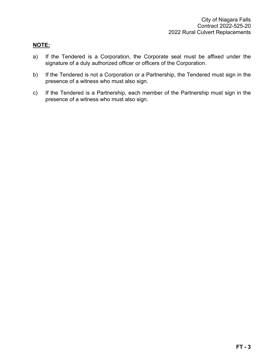#### **NOTE:**

- a) If the Tendered is a Corporation, the Corporate seal must be affixed under the signature of a duly authorized officer or officers of the Corporation.
- b) If the Tendered is not a Corporation or a Partnership, the Tendered must sign in the presence of a witness who must also sign.
- c) If the Tendered is a Partnership, each member of the Partnership must sign in the presence of a witness who must also sign.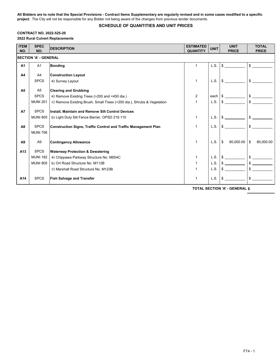**All Bidders are to note that the Special Provisions - Contract Items Supplementary are regularly revised and in some cases modified to a specific project.** The City will not be responsible for any Bidder not being aware of the changes from previous tender documents.

#### **SCHEDULE OF QUANTITIES AND UNIT PRICES**

#### **CONTRACT NO. 2022-525-20**

**2022 Rural Culvert Replacements**

| <b>ITEM</b><br>NO. | <b>SPEC</b><br>NO.           | <b>DESCRIPTION</b>                                                     | <b>ESTIMATED</b><br><b>QUANTITY</b> | <b>UNIT</b> | <b>UNIT</b><br><b>PRICE</b> | <b>TOTAL</b><br><b>PRICE</b> |
|--------------------|------------------------------|------------------------------------------------------------------------|-------------------------------------|-------------|-----------------------------|------------------------------|
|                    | <b>SECTION 'A' - GENERAL</b> |                                                                        |                                     |             |                             |                              |
| <b>A1</b>          | A1                           | <b>Bonding</b>                                                         | 1                                   | L.S.        | $\mathbb{S}$                | $\mathbb{S}$                 |
| A <sub>4</sub>     | A4                           | <b>Construction Layout</b>                                             |                                     |             |                             |                              |
|                    | <b>SPCS</b>                  | a) Survey Layout                                                       | 1                                   | L.S.        | \$                          | \$                           |
| A <sub>5</sub>     | A <sub>5</sub>               | <b>Clearing and Grubbing</b>                                           |                                     |             |                             |                              |
|                    | <b>SPCS</b>                  | a) Remove Existing Trees (>200 and <450 dia.)                          | 2                                   | each        |                             |                              |
|                    | <b>MUNI 201</b>              | c) Remove Existing Brush, Small Trees (<200 dia.), Shrubs & Vegetation |                                     | L.S.        | $\mathbb{S}$                | \$                           |
| <b>A7</b>          | <b>SPCS</b>                  | Install, Maintain and Remove Silt Control Devices                      |                                     |             |                             |                              |
|                    | <b>MUNI 805</b>              | b) Light Duty Silt Fence Barrier, OPSD 219.110                         |                                     | L.S.        | $\mathbf{s}$                | \$                           |
| A <sub>8</sub>     | <b>SPCS</b>                  | <b>Construction Signs, Traffic Control and Traffic Management Plan</b> |                                     | L.S.        | \$                          | \$                           |
|                    | <b>MUNI 706</b>              |                                                                        |                                     |             |                             |                              |
| A <sub>9</sub>     | A <sub>9</sub>               | <b>Contingency Allowance</b>                                           | 1                                   | L.S.        | \$<br>80,000.00             | \$<br>80,000.00              |
| A <sub>13</sub>    | <b>SPCS</b>                  | <b>Waterway Protection &amp; Dewatering</b>                            |                                     |             |                             |                              |
|                    | <b>MUNI 182</b>              | a) Chippawa Parkway Structure No. M054C                                |                                     | L.S.        |                             | \$                           |
|                    | <b>MUNI 805</b>              | b) Ort Road Structure No. M112B                                        |                                     | L.S.        |                             |                              |
|                    |                              | c) Marshall Road Structure No. M123B                                   |                                     | L.S.        |                             | \$                           |
| A14                | <b>SPCS</b>                  | <b>Fish Salvage and Transfer</b>                                       |                                     | L.S.        | \$                          | \$                           |

**\$ TOTAL SECTION 'A' - GENERAL**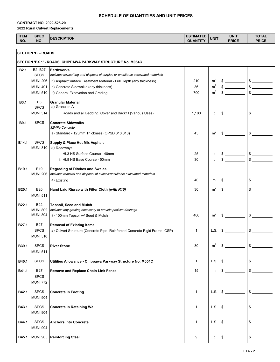#### **CONTRACT NO. 2022-525-20 2022 Rural Culvert Replacements**

| <b>ITEM</b><br>NO. | <b>SPEC</b><br>NO.                 | <b>DESCRIPTION</b>                                                                            | <b>ESTIMATED</b><br><b>QUANTITY</b> | <b>UNIT</b>                      | <b>UNIT</b><br><b>PRICE</b> | <b>TOTAL</b><br><b>PRICE</b> |
|--------------------|------------------------------------|-----------------------------------------------------------------------------------------------|-------------------------------------|----------------------------------|-----------------------------|------------------------------|
|                    | <b>SECTION 'B' - ROADS</b>         |                                                                                               |                                     |                                  |                             |                              |
|                    |                                    | SECTION 'BX.1' - ROADS, CHIPPAWA PARKWAY STRUCTURE No. M054C                                  |                                     |                                  |                             |                              |
| <b>B2.1</b>        | B2, B27                            | Earthworks                                                                                    |                                     |                                  |                             |                              |
|                    | <b>SPCS</b>                        | Includes sawcutting and disposal of surplus or unsuitable excavated materials                 |                                     |                                  |                             |                              |
|                    | <b>MUNI 206</b><br><b>MUNI 401</b> | b) Asphalt/Surface Treatment Material - Full Depth (any thickness)                            | 210<br>36                           | m <sup>2</sup><br>m <sup>2</sup> | $\frac{1}{2}$               |                              |
|                    | <b>MUNI 510</b>                    | c) Concrete Sidewalks (any thickness)<br>f) General Excavation and Grading                    | 700                                 | m <sup>3</sup>                   |                             | \$                           |
|                    |                                    |                                                                                               |                                     |                                  |                             |                              |
| <b>B3.1</b>        | B <sub>3</sub><br><b>SPCS</b>      | <b>Granular Material</b><br>a) Granular 'A'                                                   |                                     |                                  |                             |                              |
|                    | <b>MUNI 314</b>                    | i. Roads and all Bedding, Cover and Backfill (Various Uses)                                   | 1,100                               | t                                | \$                          | \$                           |
|                    |                                    |                                                                                               |                                     |                                  |                             |                              |
| B9.1               | <b>SPCS</b>                        | <b>Concrete Sidewalks</b><br>32MPa Concrete                                                   |                                     |                                  |                             |                              |
|                    |                                    | a) Standard - 125mm Thickness (OPSD 310.010)                                                  | 45                                  | m <sup>2</sup>                   | \$                          | \$                           |
| B14.1              | <b>SPCS</b>                        |                                                                                               |                                     |                                  |                             |                              |
|                    | <b>MUNI 310</b>                    | Supply & Place Hot Mix Asphalt<br>a) Roadways                                                 |                                     |                                  |                             |                              |
|                    |                                    | i. HL3 HS Surface Course - 40mm                                                               | 25                                  | t                                |                             | $\frac{1}{2}$                |
|                    |                                    | ii. HL8 HS Base Course - 50mm                                                                 | 30                                  | t                                |                             | \$                           |
| B <sub>19.1</sub>  | <b>B19</b>                         | <b>Regrading of Ditches and Swales</b>                                                        |                                     |                                  |                             |                              |
|                    |                                    | MUNI 206   Includes removal and disposal of excess/unsuitable excavated materials             |                                     |                                  |                             |                              |
|                    |                                    | a) Existing                                                                                   | 40                                  | m                                |                             |                              |
| B <sub>20.1</sub>  | <b>B20</b>                         | Hand Laid Riprap with Filter Cloth (with R10)                                                 | 30                                  | m <sup>2</sup>                   |                             | $\frac{1}{2}$                |
|                    | <b>MUNI 511</b>                    |                                                                                               |                                     |                                  |                             |                              |
| B <sub>22.1</sub>  | <b>B22</b>                         |                                                                                               |                                     |                                  |                             |                              |
|                    | <b>MUNI 802</b>                    | <b>Topsoil, Seed and Mulch</b><br>Includes any grading necessary to provide positive drainage |                                     |                                  |                             |                              |
|                    | <b>MUNI 804</b>                    | a) 100mm Topsoil w/ Seed & Mulch                                                              | 400                                 | m <sup>2</sup>                   | \$                          | $\frac{1}{2}$                |
| B27.1              | <b>B27</b>                         | <b>Removal of Existing Items</b>                                                              |                                     |                                  |                             |                              |
|                    | <b>SPCS</b>                        | a) Culvert Structure (Concrete Pipe, Reinforced Concrete Rigid Frame, CSP)                    | 1                                   | L.S.                             | S                           | \$                           |
|                    | <b>MUNI 510</b>                    |                                                                                               |                                     |                                  |                             |                              |
| B39.1              | <b>SPCS</b>                        | <b>River Stone</b>                                                                            | 30                                  | m <sup>2</sup>                   | $\sim$                      | $\frac{1}{2}$                |
|                    | <b>MUNI 511</b>                    |                                                                                               |                                     |                                  |                             |                              |
|                    |                                    |                                                                                               |                                     |                                  |                             | $$$ $$$                      |
| B40.1              | <b>SPCS</b>                        | Utilities Allowance - Chippawa Parkway Structure No. M054C                                    | $\mathbf{1}$                        | L.S.                             | S.                          |                              |
| B41.1              | <b>B27</b>                         | Remove and Replace Chain Link Fence                                                           | 15                                  | m                                | \$                          | $\frac{1}{2}$                |
|                    | <b>SPCS</b>                        |                                                                                               |                                     |                                  |                             |                              |
|                    | <b>MUNI 772</b>                    |                                                                                               |                                     |                                  |                             |                              |
| B42.1              | <b>SPCS</b>                        | Concrete in Footing                                                                           | $\mathbf{1}$                        | L.S.                             | \$                          | $\frac{1}{2}$                |
|                    | <b>MUNI 904</b>                    |                                                                                               |                                     |                                  |                             |                              |
| B43.1              | <b>SPCS</b>                        | <b>Concrete in Retaining Wall</b>                                                             | $\mathbf{1}$                        | L.S.                             | \$                          | \$                           |
|                    | <b>MUNI 904</b>                    |                                                                                               |                                     |                                  |                             |                              |
| B44.1              | <b>SPCS</b>                        | <b>Anchors into Concrete</b>                                                                  | 1                                   | L.S.                             | \$                          | $\frac{1}{2}$                |
|                    | <b>MUNI 904</b>                    |                                                                                               |                                     |                                  |                             |                              |
|                    |                                    |                                                                                               |                                     |                                  |                             |                              |
| B45.1              |                                    | MUNI 905 Reinforcing Steel                                                                    | 9                                   | t                                | \$                          | $\frac{1}{2}$                |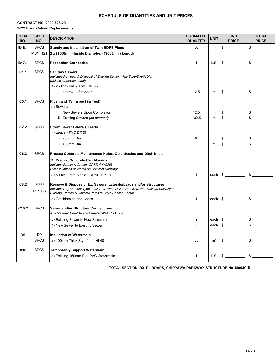#### **CONTRACT NO. 2022-525-20 2022 Rural Culvert Replacements**

| <b>ITEM</b><br>NO. | <b>SPEC</b><br>NO.     | <b>DESCRIPTION</b>                                                                                                                                                                                                    | <b>ESTIMATED</b><br><b>QUANTITY</b> | <b>UNIT</b>    | <b>UNIT</b><br><b>PRICE</b>                                                                                   | <b>TOTAL</b><br><b>PRICE</b> |
|--------------------|------------------------|-----------------------------------------------------------------------------------------------------------------------------------------------------------------------------------------------------------------------|-------------------------------------|----------------|---------------------------------------------------------------------------------------------------------------|------------------------------|
| B46.1              | <b>SPCS</b>            | Supply and Installation of Twin HDPE Pipes                                                                                                                                                                            | 38                                  | m              | \$                                                                                                            | \$                           |
|                    | <b>MUNI 421</b>        | 2 x (1500mm) Inside Diameter, (19000mm) Length                                                                                                                                                                        |                                     |                |                                                                                                               |                              |
| B47.1              | <b>SPCS</b>            | <b>Pedestrian Barricades</b>                                                                                                                                                                                          | $\mathbf{1}$                        |                |                                                                                                               |                              |
| C <sub>1.1</sub>   | <b>SPCS</b>            | <b>Sanitary Sewers</b><br>Includes Removal & Disposal of Existing Sewer - Any Type/Depth/Dia.<br>(unless otherwise noted)                                                                                             |                                     |                |                                                                                                               |                              |
|                    |                        | a) 250mm Dia. - PVC DR 35                                                                                                                                                                                             |                                     |                |                                                                                                               |                              |
|                    |                        | i. approx. 1.3m deep                                                                                                                                                                                                  | 12.5                                | m              | $\mathbb{S}$                                                                                                  | $\frac{1}{2}$                |
| C <sub>5.1</sub>   | <b>SPCS</b>            | Flush and TV Inspect (& Test)<br>a) Sewers<br>i. New Sewers Upon Completion                                                                                                                                           | 12.5                                | m              |                                                                                                               | $\qquad \qquad \bullet$      |
|                    |                        | iii. Existing Sewers (as directed)                                                                                                                                                                                    | 102.5                               | m              | $\frac{1}{2}$                                                                                                 | $\frac{1}{2}$                |
| C2.2               | <b>SPCS</b>            | <b>Storm Sewer Laterals/Leads</b><br>b) Leads - PVC DR35<br>ii. 250mm Dia.                                                                                                                                            | 16                                  | m              |                                                                                                               |                              |
|                    |                        | iv. 450mm Dia.                                                                                                                                                                                                        | 5                                   | m              | $\mathbb{S}$                                                                                                  | $\frac{1}{2}$                |
| C6.2               | <b>SPCS</b>            | <b>Precast Concrete Maintenance Holes, Catchbasins and Ditch Inlets</b><br><b>B. Precast Concrete Catchbasins</b><br>Includes Frame & Grates (OPSD 400.020)<br>Rim Elevations as Noted on Contract Drawings           |                                     |                |                                                                                                               |                              |
|                    |                        | a) 600x600mm Single - OPSD 705.010                                                                                                                                                                                    | 4                                   |                | each Sales and Sales and Sales and Sales and Sales and Sales and Sales and Sales and Sales and Sales and S    | $\frac{1}{2}$                |
| C8.2               | <b>SPCS</b><br>B27, C8 | Remove & Dispose of Ex. Sewers, Laterals/Leads and/or Structures<br>Includes Any Material Type (excl. A.C. Pipe) /Size/Depth/Dia. and Salvage/Delivery of<br>Existing Frames & Covers/Grates to City's Service Centre |                                     |                |                                                                                                               |                              |
|                    |                        | d) Catchbasins and Leads                                                                                                                                                                                              | 4                                   |                | each Sales and the search of the search of the search of the search of the search of the search of the search | $\frac{1}{2}$                |
| C10.2              | <b>SPCS</b>            | <b>Sewer and/or Structure Connections</b><br>Any Material Type/Depth/Diameter/Wall Thickness<br>b) Existing Sewer to New Structure                                                                                    | 2                                   |                | each $\frac{1}{2}$                                                                                            |                              |
|                    |                        | c) New Sewer to Existing Sewer                                                                                                                                                                                        | $\overline{2}$                      | each           | $\frac{1}{2}$                                                                                                 | $\frac{1}{2}$                |
|                    |                        |                                                                                                                                                                                                                       |                                     |                |                                                                                                               |                              |
| D <sub>9</sub>     | D <sub>9</sub>         | <b>Insulation of Watermain</b>                                                                                                                                                                                        |                                     |                |                                                                                                               |                              |
|                    | <b>SPCS</b>            | a) 100mm Thick Styrofoam HI 40                                                                                                                                                                                        | 35                                  | m <sup>2</sup> |                                                                                                               | $\frac{1}{2}$                |
| D <sub>18</sub>    | <b>SPCS</b>            | <b>Temporarily Support Watermain</b>                                                                                                                                                                                  |                                     |                |                                                                                                               |                              |
|                    |                        | a) Existing 150mm Dia. PVC Watermain                                                                                                                                                                                  | $\mathbf{1}$                        |                | L.S. $\frac{1}{2}$                                                                                            | $\frac{1}{2}$                |

**\$ TOTAL SECTION 'BX.1' - ROADS, CHIPPAWA PARKWAY STRUCTURE No. M054C**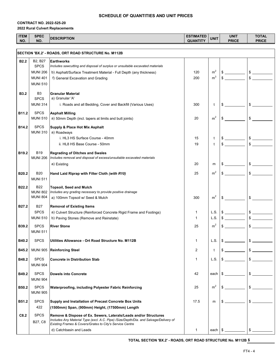#### **CONTRACT NO. 2022-525-20 2022 Rural Culvert Replacements**

| <b>ITEM</b><br>NO. | <b>SPEC</b><br>NO.                                   | <b>DESCRIPTION</b>                                                                                                                                        | <b>ESTIMATED</b><br><b>QUANTITY</b> | <b>UNIT</b>    | <b>UNIT</b><br><b>PRICE</b> | <b>TOTAL</b><br><b>PRICE</b>  |  |
|--------------------|------------------------------------------------------|-----------------------------------------------------------------------------------------------------------------------------------------------------------|-------------------------------------|----------------|-----------------------------|-------------------------------|--|
|                    |                                                      |                                                                                                                                                           |                                     |                |                             |                               |  |
|                    | SECTION 'BX.2' - ROADS, ORT ROAD STRUCTURE No. M112B |                                                                                                                                                           |                                     |                |                             |                               |  |
| <b>B2.2</b>        | B2, B27                                              | <b>Earthworks</b>                                                                                                                                         |                                     |                |                             |                               |  |
|                    | <b>SPCS</b>                                          | Includes sawcutting and disposal of surplus or unsuitable excavated materials                                                                             |                                     |                |                             |                               |  |
|                    | <b>MUNI 206</b>                                      | b) Asphalt/Surface Treatment Material - Full Depth (any thickness)                                                                                        | 120                                 | m <sup>2</sup> | $\frac{1}{2}$               |                               |  |
|                    | <b>MUNI 401</b>                                      | f) General Excavation and Grading                                                                                                                         | 200                                 | m <sup>3</sup> |                             | $\frac{1}{2}$                 |  |
|                    | <b>MUNI 510</b>                                      |                                                                                                                                                           |                                     |                |                             |                               |  |
| <b>B3.2</b>        | B3                                                   | <b>Granular Material</b>                                                                                                                                  |                                     |                |                             |                               |  |
|                    | <b>SPCS</b>                                          | a) Granular 'A'                                                                                                                                           |                                     |                |                             |                               |  |
|                    | <b>MUNI 314</b>                                      | i. Roads and all Bedding, Cover and Backfill (Various Uses)                                                                                               | 300                                 | t              | $\sim$                      |                               |  |
| B11.2              | <b>SPCS</b>                                          | <b>Asphalt Milling</b>                                                                                                                                    |                                     |                |                             |                               |  |
|                    | <b>MUNI 510</b>                                      | a) 50mm Depth (incl. tapers at limits and butt joints)                                                                                                    | 20                                  | m <sup>2</sup> | \$                          | $\frac{1}{\sqrt{2}}$          |  |
| B14.2              | <b>SPCS</b>                                          | <b>Supply &amp; Place Hot Mix Asphalt</b>                                                                                                                 |                                     |                |                             |                               |  |
|                    | <b>MUNI 310</b>                                      | a) Roadways                                                                                                                                               |                                     |                |                             |                               |  |
|                    |                                                      | i. HL3 HS Surface Course - 40mm                                                                                                                           | 15                                  | t              |                             | $$$ $$$                       |  |
|                    |                                                      | ii. HL8 HS Base Course - 50mm                                                                                                                             | 19                                  | t              |                             | $\mathbb{S}$                  |  |
| B19.2              | <b>B19</b>                                           | <b>Regrading of Ditches and Swales</b>                                                                                                                    |                                     |                |                             |                               |  |
|                    | <b>MUNI 206</b>                                      | Includes removal and disposal of excess/unsuitable excavated materials                                                                                    |                                     |                |                             |                               |  |
|                    |                                                      | a) Existing                                                                                                                                               | 20                                  | m              |                             | $$$ $$$                       |  |
| B20.2              | <b>B20</b>                                           | Hand Laid Riprap with Filter Cloth (with R10)                                                                                                             | 25                                  | m <sup>2</sup> |                             | $\frac{1}{2}$                 |  |
|                    | <b>MUNI 511</b>                                      |                                                                                                                                                           |                                     |                |                             |                               |  |
| B22.2              | <b>B22</b>                                           | <b>Topsoil, Seed and Mulch</b>                                                                                                                            |                                     |                |                             |                               |  |
|                    | <b>MUNI 802</b>                                      | Includes any grading necessary to provide positive drainage                                                                                               |                                     |                |                             |                               |  |
|                    | <b>MUNI 804</b>                                      | a) 100mm Topsoil w/ Seed & Mulch                                                                                                                          | 300                                 | m <sup>2</sup> | \$                          | $$\overline{\hspace{1.5cm}}$$ |  |
| B27.2              | <b>B27</b>                                           | <b>Removal of Existing Items</b>                                                                                                                          |                                     |                |                             |                               |  |
|                    | <b>SPCS</b>                                          | a) Culvert Structure (Reinforced Concrete Rigid Frame and Footings)                                                                                       | 1                                   | L.S.           |                             | $$$ $$$                       |  |
|                    | <b>MUNI 510</b>                                      | b) Paving Stones (Remove and Reinstate)                                                                                                                   | 1                                   | L.S.           |                             | $\frac{1}{2}$                 |  |
| B39.2              | <b>SPCS</b>                                          | <b>River Stone</b>                                                                                                                                        | 25                                  | m <sup>2</sup> | \$                          | $\frac{1}{2}$                 |  |
|                    | <b>MUNI 511</b>                                      |                                                                                                                                                           |                                     |                |                             |                               |  |
|                    | <b>SPCS</b>                                          |                                                                                                                                                           | 1                                   | L.S.           |                             |                               |  |
| B40.2              |                                                      | Utilities Allowance - Ort Road Structure No. M112B                                                                                                        |                                     |                |                             |                               |  |
| B45.2              |                                                      | MUNI 905 Reinforcing Steel                                                                                                                                | $\overline{2}$                      | t              | $\frac{1}{2}$               |                               |  |
| B48.2              | <b>SPCS</b>                                          | <b>Concrete in Distribution Slab</b>                                                                                                                      | $\mathbf{1}$                        | L.S.           | $$$ $\sim$                  |                               |  |
|                    | <b>MUNI 904</b>                                      |                                                                                                                                                           |                                     |                |                             |                               |  |
| B49.2              | <b>SPCS</b>                                          | <b>Dowels into Concrete</b>                                                                                                                               | 42                                  | each           | $\frac{1}{2}$               |                               |  |
|                    | <b>MUNI 904</b>                                      |                                                                                                                                                           |                                     |                |                             |                               |  |
|                    |                                                      |                                                                                                                                                           |                                     | m <sup>2</sup> |                             |                               |  |
| B50.2              | <b>SPCS</b><br><b>MUNI 905</b>                       | <b>Waterproofing, including Polyester Fabric Reinforcing</b>                                                                                              | 25                                  |                | $\frac{1}{2}$               |                               |  |
|                    |                                                      |                                                                                                                                                           |                                     |                |                             |                               |  |
| B51.2              | <b>SPCS</b>                                          | Supply and Installation of Precast Concrete Box Units                                                                                                     | 17.5                                | m              | $\frac{1}{2}$               | $\frac{1}{2}$                 |  |
|                    | 422                                                  | (1500mm) Span, (900mm) Height, (17500mm) Length                                                                                                           |                                     |                |                             |                               |  |
| C8.2               | <b>SPCS</b>                                          | Remove & Dispose of Ex. Sewers, Laterals/Leads and/or Structures<br>Includes Any Material Type (excl. A.C. Pipe) /Size/Depth/Dia. and Salvage/Delivery of |                                     |                |                             |                               |  |
|                    | B27, C8                                              | Existing Frames & Covers/Grates to City's Service Centre                                                                                                  |                                     |                |                             |                               |  |
|                    |                                                      | d) Catchbasin and Leads                                                                                                                                   | $\mathbf{1}$                        |                | each $\frac{1}{2}$          |                               |  |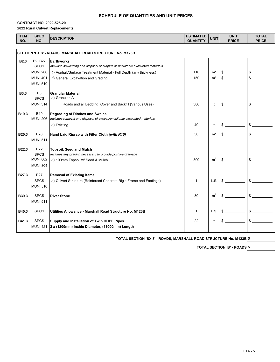#### **CONTRACT NO. 2022-525-20 2022 Rural Culvert Replacements**

| <b>ITEM</b><br>NO. | <b>SPEC</b><br>NO.                 | <b>DESCRIPTION</b>                                                                            | <b>ESTIMATED</b><br><b>QUANTITY</b> | <b>UNIT</b>                      | <b>UNIT</b><br><b>PRICE</b> | <b>TOTAL</b><br><b>PRICE</b> |
|--------------------|------------------------------------|-----------------------------------------------------------------------------------------------|-------------------------------------|----------------------------------|-----------------------------|------------------------------|
|                    |                                    |                                                                                               |                                     |                                  |                             |                              |
|                    |                                    | SECTION 'BX.3' - ROADS, MARSHALL ROAD STRUCTURE No. M123B                                     |                                     |                                  |                             |                              |
| <b>B2.3</b>        | B2, B27                            | Earthworks                                                                                    |                                     |                                  |                             |                              |
|                    | <b>SPCS</b>                        | Includes sawcutting and disposal of surplus or unsuitable excavated materials                 |                                     |                                  |                             |                              |
|                    | <b>MUNI 206</b>                    | b) Asphalt/Surface Treatment Material - Full Depth (any thickness)                            | 110                                 | m <sup>2</sup><br>m <sup>3</sup> | $$$ $$$                     |                              |
|                    | <b>MUNI 401</b><br><b>MUNI 510</b> | f) General Excavation and Grading                                                             | 150                                 |                                  |                             | \$                           |
|                    |                                    |                                                                                               |                                     |                                  |                             |                              |
| <b>B3.3</b>        | B <sub>3</sub>                     | <b>Granular Material</b>                                                                      |                                     |                                  |                             |                              |
|                    | <b>SPCS</b>                        | a) Granular 'A'                                                                               |                                     |                                  |                             |                              |
|                    | <b>MUNI 314</b>                    | i. Roads and all Bedding, Cover and Backfill (Various Uses)                                   | 300                                 | $\mathbf{t}$                     | $\mathbb{S}$                | $\mathsf{\$}$                |
| B <sub>19.3</sub>  | <b>B19</b>                         | <b>Regrading of Ditches and Swales</b>                                                        |                                     |                                  |                             |                              |
|                    | <b>MUNI 206</b>                    | Includes removal and disposal of excess/unsuitable excavated materials                        |                                     |                                  |                             |                              |
|                    |                                    | a) Existing                                                                                   | 40                                  | m                                | \$                          |                              |
| B20.3              | <b>B20</b>                         | Hand Laid Riprap with Filter Cloth (with R10)                                                 | 30                                  | m <sup>2</sup>                   | \$                          | $\mathsf{\$}$                |
|                    | <b>MUNI 511</b>                    |                                                                                               |                                     |                                  |                             |                              |
|                    |                                    |                                                                                               |                                     |                                  |                             |                              |
| B22.3              | <b>B22</b><br><b>SPCS</b>          | <b>Topsoil, Seed and Mulch</b><br>Includes any grading necessary to provide positive drainage |                                     |                                  |                             |                              |
|                    | <b>MUNI 802</b>                    | a) 100mm Topsoil w/ Seed & Mulch                                                              | 300                                 | m <sup>2</sup>                   | \$                          | \$                           |
|                    | <b>MUNI 804</b>                    |                                                                                               |                                     |                                  |                             |                              |
|                    |                                    |                                                                                               |                                     |                                  |                             |                              |
| B <sub>27.3</sub>  | <b>B27</b>                         | <b>Removal of Existing Items</b>                                                              |                                     |                                  |                             |                              |
|                    | <b>SPCS</b>                        | a) Culvert Structure (Reinforced Concrete Rigid Frame and Footings)                           | $\mathbf{1}$                        | L.S.                             | \$                          | \$                           |
|                    | <b>MUNI 510</b>                    |                                                                                               |                                     |                                  |                             |                              |
| B39.3              | <b>SPCS</b>                        | <b>River Stone</b>                                                                            | 30                                  | m <sup>2</sup>                   | \$                          | $\mathbb{S}$                 |
|                    | <b>MUNI 511</b>                    |                                                                                               |                                     |                                  |                             |                              |
| B40.3              | <b>SPCS</b>                        | Utilities Allowance - Marshall Road Structure No. M123B                                       | $\mathbf{1}$                        | L.S.                             | $\mathbb{S}$                | $\frac{1}{2}$                |
|                    |                                    |                                                                                               |                                     |                                  |                             |                              |
| B41.3              | <b>SPCS</b>                        | Supply and Installation of Twin HDPE Pipes                                                    | 22                                  | m                                | $S_{-}$                     | $\delta$                     |
|                    | <b>MUNI 421</b>                    | 2 x (1200mm) Inside Diameter, (11000mm) Length                                                |                                     |                                  |                             |                              |
|                    |                                    |                                                                                               |                                     |                                  |                             |                              |

**\$ TOTAL SECTION 'BX.3' - ROADS, MARSHALL ROAD STRUCTURE No. M123B**

**TOTAL SECTION 'B' - ROADS \$**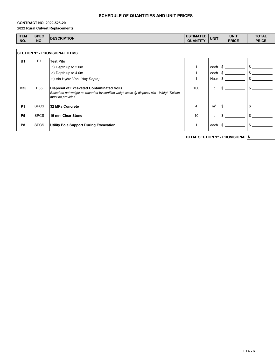#### **CONTRACT NO. 2022-525-20 2022 Rural Culvert Replacements**

| <b>ITEM</b> | <b>SPEC</b> | <b>IDESCRIPTION</b> | ESTIMATED       | <b>UNIT</b> | UNIT         | <b>TOTAL</b> |
|-------------|-------------|---------------------|-----------------|-------------|--------------|--------------|
| NO.         | NO.         |                     | <b>QUANTITY</b> |             | <b>PRICE</b> | <b>PRICE</b> |

| <b>SECTION 'P' - PROVISIONAL ITEMS</b> |             |                                                                                                                                                          |     |                |  |    |
|----------------------------------------|-------------|----------------------------------------------------------------------------------------------------------------------------------------------------------|-----|----------------|--|----|
| <b>B1</b>                              | <b>B1</b>   | <b>Test Pits</b>                                                                                                                                         |     |                |  |    |
|                                        |             | c) Depth up to 2.0m                                                                                                                                      |     | each           |  | \$ |
|                                        |             | d) Depth up to 4.0m                                                                                                                                      |     | each           |  | \$ |
|                                        |             | e) Via Hydro Vac. (Any Depth)                                                                                                                            |     | Hour           |  |    |
| <b>B35</b>                             | <b>B35</b>  | Disposal of Excavated Contaminated Soils<br>Based on net weight as recorded by certified weigh scale @ disposal site - Weigh Tickets<br>must be provided | 100 |                |  | ፍ  |
| <b>P1</b>                              | <b>SPCS</b> | l32 MPa Concrete                                                                                                                                         | 4   | m <sup>3</sup> |  |    |
| <b>P5</b>                              | <b>SPCS</b> | 19 mm Clear Stone                                                                                                                                        | 10  |                |  |    |
| P <sub>8</sub>                         | <b>SPCS</b> | <b>Utility Pole Support During Excavation</b>                                                                                                            |     | each           |  | ፍ  |

**\$ TOTAL SECTION 'P' - PROVISIONAL**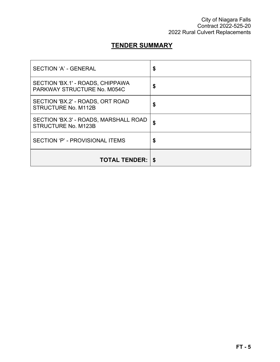## **TENDER SUMMARY**

| SECTION 'A' - GENERAL                                               | \$ |
|---------------------------------------------------------------------|----|
| SECTION 'BX.1' - ROADS, CHIPPAWA<br>PARKWAY STRUCTURE No. M054C     | S  |
| SECTION 'BX.2' - ROADS, ORT ROAD<br>STRUCTURE No. M112B             | \$ |
| SECTION 'BX.3' - ROADS, MARSHALL ROAD<br><b>STRUCTURE No. M123B</b> | \$ |
| SECTION 'P' - PROVISIONAL ITEMS                                     | \$ |
| <b>TOTAL TENDER:   \$</b>                                           |    |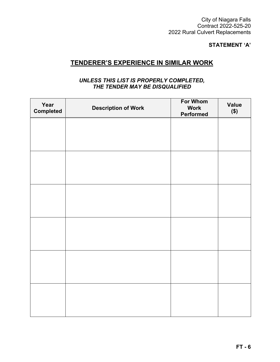City of Niagara Falls Contract 2022-525-20 2022 Rural Culvert Replacements

### **STATEMENT 'A'**

### **TENDERER'S EXPERIENCE IN SIMILAR WORK**

### *UNLESS THIS LIST IS PROPERLY COMPLETED, THE TENDER MAY BE DISQUALIFIED*

| Year<br><b>Completed</b> | <b>Description of Work</b> | <b>For Whom</b><br><b>Work</b><br>Performed | <b>Value</b><br>\$) |
|--------------------------|----------------------------|---------------------------------------------|---------------------|
|                          |                            |                                             |                     |
|                          |                            |                                             |                     |
|                          |                            |                                             |                     |
|                          |                            |                                             |                     |
|                          |                            |                                             |                     |
|                          |                            |                                             |                     |
|                          |                            |                                             |                     |
|                          |                            |                                             |                     |
|                          |                            |                                             |                     |
|                          |                            |                                             |                     |
|                          |                            |                                             |                     |
|                          |                            |                                             |                     |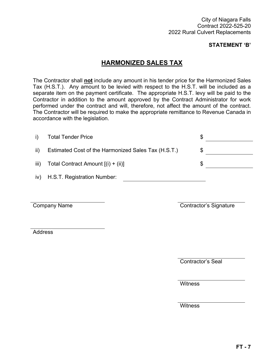### **STATEMENT 'B'**

### **HARMONIZED SALES TAX**

The Contractor shall **not** include any amount in his tender price for the Harmonized Sales Tax (H.S.T.). Any amount to be levied with respect to the H.S.T. will be included as a separate item on the payment certificate. The appropriate H.S.T. levy will be paid to the Contractor in addition to the amount approved by the Contract Administrator for work performed under the contract and will, therefore, not affect the amount of the contract. The Contractor will be required to make the appropriate remittance to Revenue Canada in accordance with the legislation.

| i)  | <b>Total Tender Price</b>                           |  |
|-----|-----------------------------------------------------|--|
| ii) | Estimated Cost of the Harmonized Sales Tax (H.S.T.) |  |
|     | iii) Total Contract Amount $[(i) + (ii)]$           |  |
| iv) | H.S.T. Registration Number:                         |  |

Company Name

Contractor's Signature

Address

Contractor's Seal

**Witness** 

**Witness**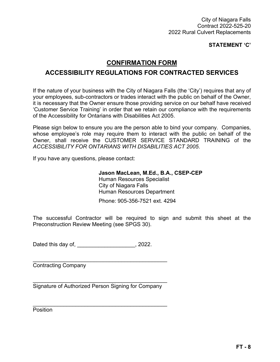City of Niagara Falls Contract 2022-525-20 2022 Rural Culvert Replacements

**STATEMENT 'C'**

### **CONFIRMATION FORM**

### **ACCESSIBILITY REGULATIONS FOR CONTRACTED SERVICES**

If the nature of your business with the City of Niagara Falls (the 'City') requires that any of your employees, sub-contractors or trades interact with the public on behalf of the Owner, it is necessary that the Owner ensure those providing service on our behalf have received 'Customer Service Training' in order that we retain our compliance with the requirements of the Accessibility for Ontarians with Disabilities Act 2005.

Please sign below to ensure you are the person able to bind your company. Companies, whose employee's role may require them to interact with the public on behalf of the Owner, shall receive the CUSTOMER SERVICE STANDARD TRAINING of the *ACCESSIBILITY FOR ONTARIANS WITH DISABILITIES ACT 2005*.

If you have any questions, please contact:

**Jason MacLean, M.Ed., B.A., CSEP-CEP** Human Resources Specialist City of Niagara Falls Human Resources Department

Phone: 905-356-7521 ext. 4294

The successful Contractor will be required to sign and submit this sheet at the Preconstruction Review Meeting (see SPGS 30).

Dated this day of, \_\_\_\_\_\_\_\_\_\_\_\_\_\_\_\_\_\_\_, 2022.

Contracting Company

\_\_\_\_\_\_\_\_\_\_\_\_\_\_\_\_\_\_\_\_\_\_\_\_\_\_\_\_\_\_\_\_\_\_\_\_\_\_\_\_\_\_\_\_ Signature of Authorized Person Signing for Company

\_\_\_\_\_\_\_\_\_\_\_\_\_\_\_\_\_\_\_\_\_\_\_\_\_\_\_\_\_\_\_\_\_\_\_\_\_\_\_\_\_\_\_\_

\_\_\_\_\_\_\_\_\_\_\_\_\_\_\_\_\_\_\_\_\_\_\_\_\_\_\_\_\_\_\_\_\_\_\_\_\_\_\_\_\_\_\_\_

**Position**